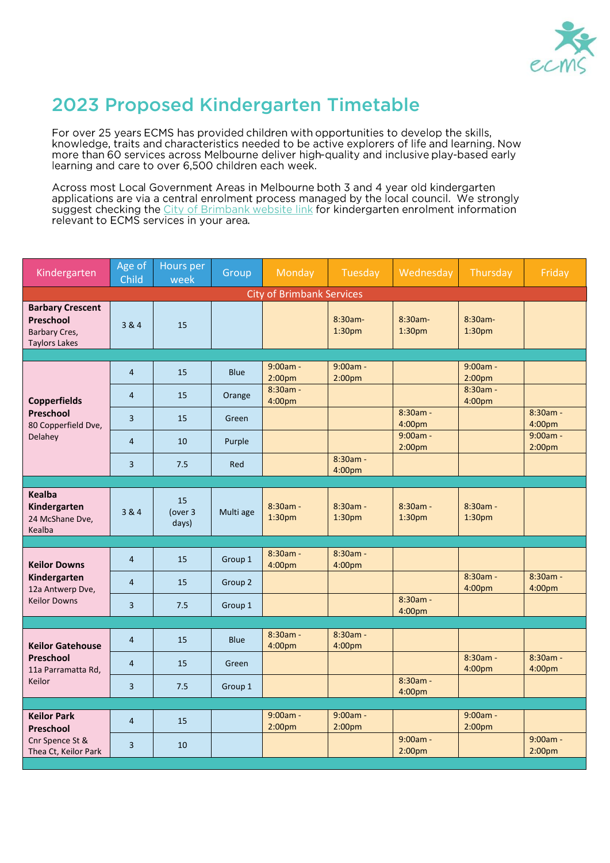

## 2023 Proposed Kindergarten Timetable

For over 25 years ECMS has provided children with opportunities to develop the skills, knowledge, traits and characteristics needed to be active explorers of life and learning. Now more than 60 services across Melbourne deliver high-quality and inclusive play-based early learning and care to over 6,500 children each week.

Across most Local Government Areas in Melbourne both 3 and 4 year old kindergarten<br>applications are via a central enrolment process managed by the local council. We strongly suggest checking the City of Brimbank website link for kindergarten enrolment information relevant to ECMS services in your area.

| Kindergarten                                                                  | Age of<br>Child | Hours per<br>week      | Group       | Monday                           | Tuesday                          | Wednesday                        | Thursday                         | Friday                           |  |  |
|-------------------------------------------------------------------------------|-----------------|------------------------|-------------|----------------------------------|----------------------------------|----------------------------------|----------------------------------|----------------------------------|--|--|
| <b>City of Brimbank Services</b>                                              |                 |                        |             |                                  |                                  |                                  |                                  |                                  |  |  |
| <b>Barbary Crescent</b><br>Preschool<br>Barbary Cres,<br><b>Taylors Lakes</b> | 3 & 4           | 15                     |             |                                  | 8:30am-<br>1:30 <sub>pm</sub>    | $8:30am -$<br>1:30 <sub>pm</sub> | 8:30am-<br>1:30 <sub>pm</sub>    |                                  |  |  |
|                                                                               |                 |                        |             |                                  |                                  |                                  |                                  |                                  |  |  |
| <b>Copperfields</b><br>Preschool<br>80 Copperfield Dve,<br>Delahey            | $\overline{4}$  | 15                     | <b>Blue</b> | 9:00am -<br>2:00 <sub>pm</sub>   | $9:00am -$<br>2:00 <sub>pm</sub> |                                  | $9:00am -$<br>2:00 <sub>pm</sub> |                                  |  |  |
|                                                                               | $\overline{4}$  | 15                     | Orange      | $8:30am -$<br>4:00pm             |                                  |                                  | $8:30am -$<br>4:00 <sub>pm</sub> |                                  |  |  |
|                                                                               | 3               | 15                     | Green       |                                  |                                  | 8:30am -<br>4:00pm               |                                  | 8:30am -<br>4:00pm               |  |  |
|                                                                               | $\overline{4}$  | 10                     | Purple      |                                  |                                  | $9:00am -$<br>2:00 <sub>pm</sub> |                                  | $9:00am -$<br>2:00 <sub>pm</sub> |  |  |
|                                                                               | 3               | 7.5                    | Red         |                                  | $8:30am -$<br>4:00pm             |                                  |                                  |                                  |  |  |
|                                                                               |                 |                        |             |                                  |                                  |                                  |                                  |                                  |  |  |
| <b>Kealba</b><br>Kindergarten<br>24 McShane Dve,<br>Kealba                    | 3 & 4           | 15<br>(over 3<br>days) | Multi age   | $8:30am -$<br>1:30 <sub>pm</sub> | $8:30am -$<br>1:30 <sub>pm</sub> | $8:30am -$<br>1:30 <sub>pm</sub> | $8:30am -$<br>1:30 <sub>pm</sub> |                                  |  |  |
|                                                                               |                 |                        |             |                                  |                                  |                                  |                                  |                                  |  |  |
| <b>Keilor Downs</b>                                                           | $\overline{4}$  | 15                     | Group 1     | $8:30am -$<br>4:00pm             | $8:30am -$<br>4:00pm             |                                  |                                  |                                  |  |  |
| Kindergarten<br>12a Antwerp Dve,<br><b>Keilor Downs</b>                       | $\overline{4}$  | 15                     | Group 2     |                                  |                                  |                                  | 8:30am -<br>4:00pm               | 8:30am -<br>4:00pm               |  |  |
|                                                                               | 3               | 7.5                    | Group 1     |                                  |                                  | 8:30am -<br>4:00pm               |                                  |                                  |  |  |
|                                                                               |                 |                        |             |                                  |                                  |                                  |                                  |                                  |  |  |
| <b>Keilor Gatehouse</b><br>Preschool<br>11a Parramatta Rd.<br>Keilor          | $\overline{4}$  | 15                     | <b>Blue</b> | $8:30am -$<br>4:00pm             | $8:30am -$<br>4:00 <sub>pm</sub> |                                  |                                  |                                  |  |  |
|                                                                               | 4               | 15                     | Green       |                                  |                                  |                                  | 8:30am -<br>4:00pm               | 8:30am -<br>4:00pm               |  |  |
|                                                                               | 3               | 7.5                    | Group 1     |                                  |                                  | $8:30am -$<br>4:00pm             |                                  |                                  |  |  |
|                                                                               |                 |                        |             |                                  |                                  |                                  |                                  |                                  |  |  |
| <b>Keilor Park</b><br>Preschool<br>Cnr Spence St &<br>Thea Ct, Keilor Park    | $\overline{4}$  | 15                     |             | 9:00am -<br>2:00 <sub>pm</sub>   | 9:00am -<br>2:00 <sub>pm</sub>   |                                  | 9:00am -<br>2:00 <sub>pm</sub>   |                                  |  |  |
|                                                                               | $\overline{3}$  | 10                     |             |                                  |                                  | 9:00am -<br>2:00 <sub>pm</sub>   |                                  | $9:00am -$<br>2:00 <sub>pm</sub> |  |  |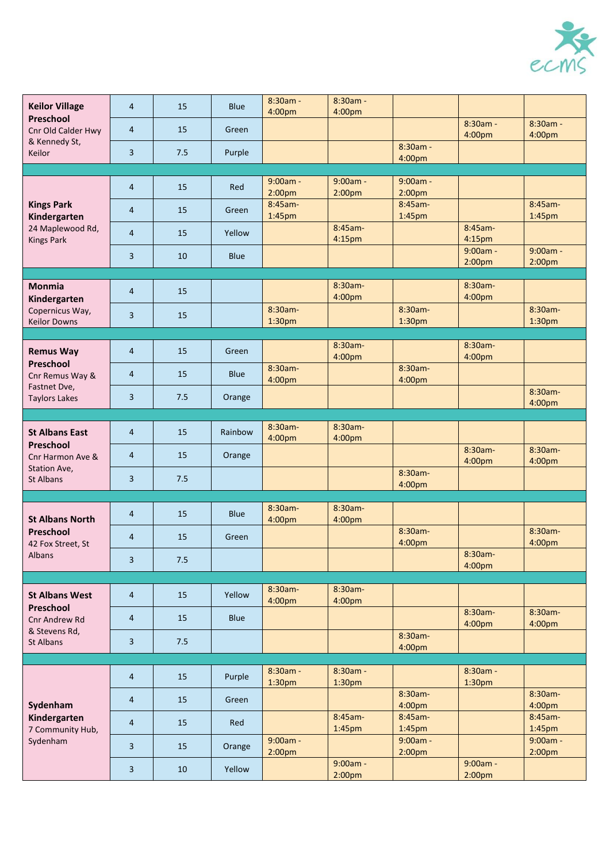

| <b>Keilor Village</b><br>Preschool<br>Cnr Old Calder Hwy<br>& Kennedy St,<br>Keilor        | $\overline{4}$          | 15  | <b>Blue</b> | 8:30am -<br>4:00pm               | 8:30am -<br>4:00pm               |                                  |                                  |                                  |
|--------------------------------------------------------------------------------------------|-------------------------|-----|-------------|----------------------------------|----------------------------------|----------------------------------|----------------------------------|----------------------------------|
|                                                                                            | $\overline{4}$          | 15  | Green       |                                  |                                  |                                  | 8:30am -<br>4:00pm               | $8:30am -$<br>4:00pm             |
|                                                                                            | 3                       | 7.5 | Purple      |                                  |                                  | $8:30am -$<br>4:00pm             |                                  |                                  |
|                                                                                            |                         |     |             |                                  |                                  |                                  |                                  |                                  |
|                                                                                            | $\overline{4}$          | 15  | Red         | $9:00am -$<br>2:00 <sub>pm</sub> | $9:00am -$<br>2:00 <sub>pm</sub> | $9:00am -$<br>2:00 <sub>pm</sub> |                                  |                                  |
| <b>Kings Park</b><br>Kindergarten<br>24 Maplewood Rd,<br><b>Kings Park</b>                 | $\overline{4}$          | 15  | Green       | 8:45am-<br>1:45pm                |                                  | 8:45am-<br>1:45pm                |                                  | $8:45am-$<br>1:45pm              |
|                                                                                            | $\overline{4}$          | 15  | Yellow      |                                  | 8:45am-<br>4:15pm                |                                  | 8:45am-<br>4:15pm                |                                  |
|                                                                                            | 3                       | 10  | <b>Blue</b> |                                  |                                  |                                  | $9:00am -$<br>2:00 <sub>pm</sub> | $9:00am -$<br>2:00 <sub>pm</sub> |
|                                                                                            |                         |     |             |                                  |                                  |                                  |                                  |                                  |
| <b>Monmia</b><br>Kindergarten                                                              | $\overline{4}$          | 15  |             |                                  | 8:30am-<br>4:00pm                |                                  | 8:30am-<br>4:00pm                |                                  |
| Copernicus Way,<br><b>Keilor Downs</b>                                                     | 3                       | 15  |             | 8:30am-<br>1:30pm                |                                  | $8:30am -$<br>1:30pm             |                                  | $8:30am -$<br>1:30pm             |
|                                                                                            |                         |     |             |                                  |                                  |                                  |                                  |                                  |
| <b>Remus Way</b><br>Preschool<br>Cnr Remus Way &<br>Fastnet Dve,<br><b>Taylors Lakes</b>   | $\overline{4}$          | 15  | Green       |                                  | 8:30am-<br>4:00pm                |                                  | 8:30am-<br>4:00pm                |                                  |
|                                                                                            | 4                       | 15  | <b>Blue</b> | 8:30am-<br>4:00pm                |                                  | 8:30am-<br>4:00pm                |                                  |                                  |
|                                                                                            | 3                       | 7.5 | Orange      |                                  |                                  |                                  |                                  | 8:30am-<br>4:00pm                |
|                                                                                            |                         |     |             |                                  |                                  |                                  |                                  |                                  |
|                                                                                            |                         |     |             | 8:30am-                          | 8:30am-                          |                                  |                                  |                                  |
| <b>St Albans East</b><br>Preschool<br>Cnr Harmon Ave &<br>Station Ave,<br><b>St Albans</b> | $\overline{4}$          | 15  | Rainbow     | 4:00pm                           | 4:00pm                           |                                  | 8:30am-                          | 8:30am-                          |
|                                                                                            | $\overline{4}$          | 15  | Orange      |                                  |                                  | 8:30am-                          | 4:00pm                           | 4:00pm                           |
|                                                                                            | 3                       | 7.5 |             |                                  |                                  | 4:00pm                           |                                  |                                  |
|                                                                                            |                         |     |             |                                  |                                  |                                  |                                  |                                  |
|                                                                                            | $\overline{4}$          | 15  | <b>Blue</b> | 8:30am-                          | 8:30am-                          |                                  |                                  |                                  |
| <b>St Albans North</b>                                                                     |                         |     |             | 4:00pm                           | 4:00pm                           |                                  |                                  |                                  |
| Preschool<br>42 Fox Street, St<br>Albans                                                   | 4                       | 15  | Green       |                                  |                                  | $8:30am -$<br>4:00pm             |                                  | 8:30am-<br>4:00pm                |
|                                                                                            | $\overline{\mathbf{3}}$ | 7.5 |             |                                  |                                  |                                  | 8:30am-<br>4:00pm                |                                  |
|                                                                                            |                         |     |             |                                  |                                  |                                  |                                  |                                  |
| <b>St Albans West</b><br>Preschool<br>Cnr Andrew Rd<br>& Stevens Rd,<br>St Albans          | $\overline{a}$          | 15  | Yellow      | 8:30am-<br>4:00pm                | 8:30am-<br>4:00pm                |                                  |                                  |                                  |
|                                                                                            | $\overline{4}$          | 15  | <b>Blue</b> |                                  |                                  |                                  | 8:30am-<br>4:00pm                | 8:30am-<br>4:00 <sub>pm</sub>    |
|                                                                                            | 3                       | 7.5 |             |                                  |                                  | 8:30am-<br>4:00pm                |                                  |                                  |
|                                                                                            |                         |     |             |                                  |                                  |                                  |                                  |                                  |
| Sydenham<br>Kindergarten<br>7 Community Hub,<br>Sydenham                                   | $\overline{4}$          | 15  | Purple      | 8:30am -<br>1:30 <sub>pm</sub>   | 8:30am -<br>1:30 <sub>pm</sub>   |                                  | 8:30am -<br>1:30 <sub>pm</sub>   |                                  |
|                                                                                            | $\overline{4}$          | 15  | Green       |                                  |                                  | 8:30am-<br>4:00pm                |                                  | 8:30am-<br>4:00pm                |
|                                                                                            | 4                       | 15  | Red         |                                  | 8:45am-<br>1:45 <sub>pm</sub>    | 8:45am-<br>$1:45$ pm             |                                  | 8:45am-<br>$1:45$ pm             |
|                                                                                            |                         | 15  | Orange      | $9:00am -$                       |                                  | $9:00am -$                       |                                  | $9:00am -$                       |
|                                                                                            | 3                       |     |             | 2:00 <sub>pm</sub>               |                                  | 2:00 <sub>pm</sub>               |                                  | 2:00 <sub>pm</sub>               |